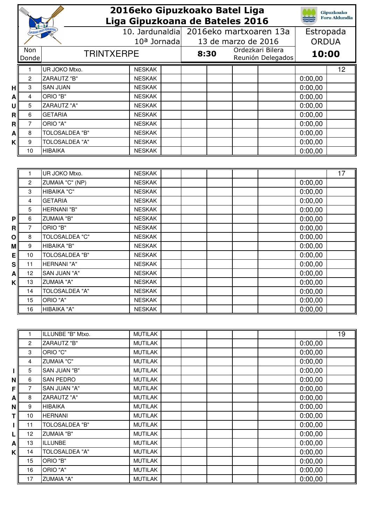|              |                     | 2016eko Gipuzkoako Batel Liga       | <b>Gipuzkoako</b><br><b>Foru Aldundia</b>          |                        |                                       |                    |    |
|--------------|---------------------|-------------------------------------|----------------------------------------------------|------------------------|---------------------------------------|--------------------|----|
|              |                     |                                     | Liga Gipuzkoana de Bateles 2016<br>10. Jardunaldia | 2016eko martxoaren 13a |                                       |                    |    |
|              |                     |                                     |                                                    |                        | Estropada                             |                    |    |
|              | Non                 |                                     | 10 <sup>a</sup> Jornada                            | 13 de marzo de 2016    | <b>ORDUA</b>                          |                    |    |
|              | Donde               | <b>TRINTXERPE</b>                   |                                                    | 8:30                   | Ordezkari Bilera<br>Reunión Delegados | 10:00              |    |
|              |                     |                                     |                                                    |                        |                                       |                    |    |
|              |                     | UR JOKO Mtxo.<br><b>ZARAUTZ "B"</b> | <b>NESKAK</b><br><b>NESKAK</b>                     |                        |                                       |                    | 12 |
|              | $\overline{c}$<br>3 | <b>SAN JUAN</b>                     | <b>NESKAK</b>                                      |                        |                                       | 0:00,00            |    |
| H            |                     | ORIO "B"                            | <b>NESKAK</b>                                      |                        |                                       | 0:00,00            |    |
| $\mathbf{A}$ | 4                   | <b>ZARAUTZ "A"</b>                  | <b>NESKAK</b>                                      |                        |                                       | 0:00,00            |    |
| U            | 5<br>6              | <b>GETARIA</b>                      | <b>NESKAK</b>                                      |                        |                                       | 0:00,00<br>0:00,00 |    |
| R<br>R       | $\overline{7}$      | ORIO "A"                            | <b>NESKAK</b>                                      |                        |                                       | 0:00,00            |    |
| A            | 8                   | <b>TOLOSALDEA "B"</b>               | <b>NESKAK</b>                                      |                        |                                       | 0:00,00            |    |
| Κ            | 9                   | <b>TOLOSALDEA "A"</b>               | <b>NESKAK</b>                                      |                        |                                       | 0:00,00            |    |
|              | 10                  | <b>HIBAIKA</b>                      | <b>NESKAK</b>                                      |                        |                                       | 0:00,00            |    |
|              |                     |                                     |                                                    |                        |                                       |                    |    |
|              |                     |                                     |                                                    |                        |                                       |                    |    |
|              | 1                   | UR JOKO Mtxo.                       | <b>NESKAK</b>                                      |                        |                                       |                    | 17 |
|              | 2                   | ZUMAIA "C" (NP)                     | <b>NESKAK</b>                                      |                        |                                       | 0:00,00            |    |
|              | 3                   | HIBAIKA "C"                         | <b>NESKAK</b>                                      |                        |                                       | 0:00,00            |    |
|              | 4                   | <b>GETARIA</b>                      | <b>NESKAK</b>                                      |                        |                                       | 0:00,00            |    |
|              | 5                   | HERNANI "B"                         | <b>NESKAK</b>                                      |                        |                                       | 0:00,00            |    |
| P            | 6                   | <b>ZUMAIA "B"</b>                   | <b>NESKAK</b>                                      |                        |                                       | 0:00,00            |    |
| $\mathbf{R}$ | $\overline{7}$      | ORIO "B"                            | <b>NESKAK</b>                                      |                        |                                       | 0:00,00            |    |
| Οl           | 8                   | <b>TOLOSALDEA "C"</b>               | <b>NESKAK</b>                                      |                        |                                       | 0:00,00            |    |
| М            | 9                   | HIBAIKA "B"                         | <b>NESKAK</b>                                      |                        |                                       | 0:00,00            |    |
| E            | 10                  | <b>TOLOSALDEA "B"</b>               | <b>NESKAK</b>                                      |                        |                                       | 0:00,00            |    |
| s            | 11                  | HERNANI "A"                         | <b>NESKAK</b><br><b>NESKAK</b>                     |                        |                                       | 0:00,00            |    |
| A            | 12<br>13            | SAN JUAN "A"<br><b>ZUMAIA "A"</b>   | <b>NESKAK</b>                                      |                        |                                       | 0:00,00            |    |
| κI           | 14                  | <b>TOLOSALDEA "A"</b>               | <b>NESKAK</b>                                      |                        |                                       | 0:00,00<br>0:00,00 |    |
|              | 15                  | ORIO "A"                            | <b>NESKAK</b>                                      |                        |                                       | 0:00,00            |    |
|              | 16                  | HIBAIKA "A"                         | <b>NESKAK</b>                                      |                        |                                       | 0:00,00            |    |
|              |                     |                                     |                                                    |                        |                                       |                    |    |
|              |                     |                                     |                                                    |                        |                                       |                    |    |
|              | 1                   | ILLUNBE "B" Mtxo.                   | <b>MUTILAK</b>                                     |                        |                                       |                    | 19 |
|              | $\overline{c}$      | <b>ZARAUTZ "B"</b>                  | <b>MUTILAK</b>                                     |                        |                                       | 0:00,00            |    |
|              | 3                   | ORIO "C"                            | <b>MUTILAK</b>                                     |                        |                                       | 0:00,00            |    |
|              | 4                   | <b>ZUMAIA "C"</b>                   | <b>MUTILAK</b>                                     |                        |                                       | 0:00,00            |    |
| I            | 5                   | SAN JUAN "B"                        | <b>MUTILAK</b>                                     |                        |                                       | 0:00,00            |    |
| ΝI           | 6                   | SAN PEDRO                           | <b>MUTILAK</b>                                     |                        |                                       | 0:00,00            |    |
| F            | $\overline{7}$      | SAN JUAN "A"                        | <b>MUTILAK</b>                                     |                        |                                       | 0:00,00            |    |
| $\mathsf{A}$ | 8                   | <b>ZARAUTZ "A"</b>                  | <b>MUTILAK</b>                                     |                        |                                       | 0:00,00            |    |
| N            | $\boldsymbol{9}$    | <b>HIBAIKA</b>                      | <b>MUTILAK</b>                                     |                        |                                       | 0:00,00            |    |
| ΤI           | 10                  | <b>HERNANI</b>                      | <b>MUTILAK</b>                                     |                        |                                       | 0:00,00            |    |
| $\mathbf I$  | 11                  | <b>TOLOSALDEA "B"</b>               | <b>MUTILAK</b>                                     |                        |                                       | 0:00,00            |    |
| L            | 12                  | <b>ZUMAIA "B"</b>                   | <b>MUTILAK</b>                                     |                        |                                       | 0:00,00            |    |
| ΑI           | 13                  | <b>ILLUNBE</b>                      | <b>MUTILAK</b>                                     |                        |                                       | 0:00,00            |    |
| K            | 14                  | TOLOSALDEA "A"                      | MUTILAK                                            |                        |                                       | 0:00,00            |    |

15 ORIO "B" MUTILAK | 0:00,00 16 |ORIO "A" | MUTILAK | | 0:00,00 17 ZUMAIA "A" MUTILAK MUTILAK 1 MUTILAK 1 20:00,00